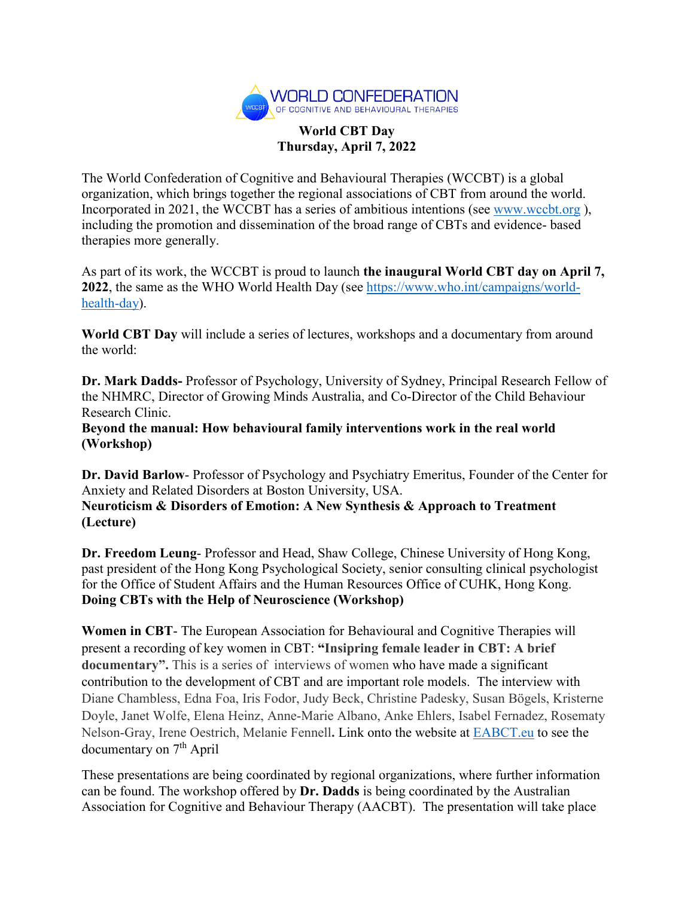

## **World CBT Day Thursday, April 7, 2022**

The World Confederation of Cognitive and Behavioural Therapies (WCCBT) is a global organization, which brings together the regional associations of CBT from around the world. Incorporated in 2021, the WCCBT has a series of ambitious intentions (see [www.wccbt.org](http://www.wccbt.org/) ), including the promotion and dissemination of the broad range of CBTs and evidence- based therapies more generally.

As part of its work, the WCCBT is proud to launch **the inaugural World CBT day on April 7, 2022**, the same as the WHO World Health Day (see [https://www.who.int/campaigns/world](https://www.who.int/campaigns/world-health-day)[health-day\)](https://www.who.int/campaigns/world-health-day).

**World CBT Day** will include a series of lectures, workshops and a documentary from around the world:

**Dr. Mark Dadds-** Professor of Psychology, University of Sydney, Principal Research Fellow of the NHMRC, Director of Growing Minds Australia, and Co-Director of the Child Behaviour Research Clinic.

**Beyond the manual: How behavioural family interventions work in the real world (Workshop)**

**Dr. David Barlow**- Professor of Psychology and Psychiatry Emeritus, Founder of the Center for Anxiety and Related Disorders at Boston University, USA. **Neuroticism & Disorders of Emotion: A New Synthesis & Approach to Treatment**

**(Lecture)**

**Dr. Freedom Leung**- Professor and Head, Shaw College, Chinese University of Hong Kong, past president of the Hong Kong Psychological Society, senior consulting clinical psychologist for the Office of Student Affairs and the Human Resources Office of CUHK, Hong Kong. **Doing CBTs with the Help of Neuroscience (Workshop)**

**Women in CBT**- The European Association for Behavioural and Cognitive Therapies will present a recording of key women in CBT: **"Insipring female leader in CBT: A brief documentary".** This is a series of interviews of women who have made a significant contribution to the development of CBT and are important role models. The interview with Diane Chambless, Edna Foa, Iris Fodor, Judy Beck, Christine Padesky, Susan Bögels, Kristerne Doyle, Janet Wolfe, Elena Heinz, Anne-Marie Albano, Anke Ehlers, Isabel Fernadez, Rosematy Nelson-Gray, Irene Oestrich, Melanie Fennell**.** Link onto the website at [EABCT.eu](https://eabct.eu/) to see the documentary on 7<sup>th</sup> April

These presentations are being coordinated by regional organizations, where further information can be found. The workshop offered by **Dr. Dadds** is being coordinated by the Australian Association for Cognitive and Behaviour Therapy (AACBT). The presentation will take place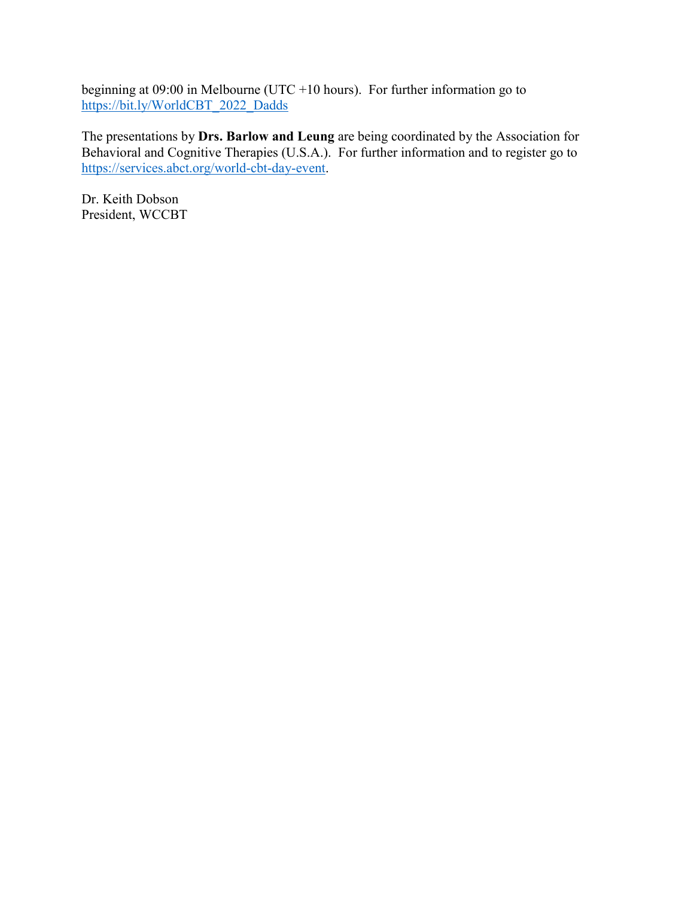beginning at 09:00 in Melbourne (UTC +10 hours). For further information go to [https://bit.ly/WorldCBT\\_2022\\_Dadds](https://bit.ly/WorldCBT_2022_Dadds)

The presentations by **Drs. Barlow and Leung** are being coordinated by the Association for Behavioral and Cognitive Therapies (U.S.A.). For further information and to register go to [https://services.abct.org/world-cbt-day-event.](https://services.abct.org/world-cbt-day-event)

Dr. Keith Dobson President, WCCBT